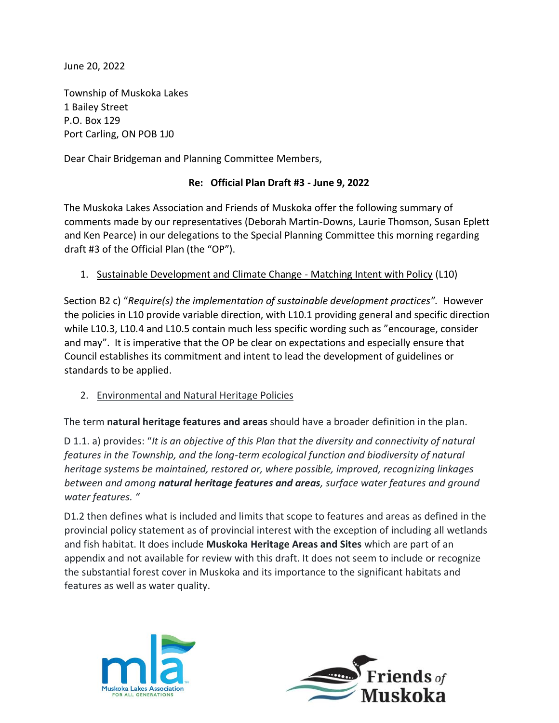June 20, 2022

Township of Muskoka Lakes 1 Bailey Street P.O. Box 129 Port Carling, ON POB 1J0

Dear Chair Bridgeman and Planning Committee Members,

#### **Re: Official Plan Draft #3 - June 9, 2022**

The Muskoka Lakes Association and Friends of Muskoka offer the following summary of comments made by our representatives (Deborah Martin-Downs, Laurie Thomson, Susan Eplett and Ken Pearce) in our delegations to the Special Planning Committee this morning regarding draft #3 of the Official Plan (the "OP").

1. Sustainable Development and Climate Change - Matching Intent with Policy (L10)

Section B2 c) "*Require(s) the implementation of sustainable development practices".* However the policies in L10 provide variable direction, with L10.1 providing general and specific direction while L10.3, L10.4 and L10.5 contain much less specific wording such as "encourage, consider and may". It is imperative that the OP be clear on expectations and especially ensure that Council establishes its commitment and intent to lead the development of guidelines or standards to be applied.

2. Environmental and Natural Heritage Policies

The term **natural heritage features and areas** should have a broader definition in the plan.

D 1.1. a) provides: "*It is an objective of this Plan that the diversity and connectivity of natural features in the Township, and the long-term ecological function and biodiversity of natural heritage systems be maintained, restored or, where possible, improved, recognizing linkages between and among natural heritage features and areas, surface water features and ground water features. "*

D1.2 then defines what is included and limits that scope to features and areas as defined in the provincial policy statement as of provincial interest with the exception of including all wetlands and fish habitat. It does include **Muskoka Heritage Areas and Sites** which are part of an appendix and not available for review with this draft. It does not seem to include or recognize the substantial forest cover in Muskoka and its importance to the significant habitats and features as well as water quality.



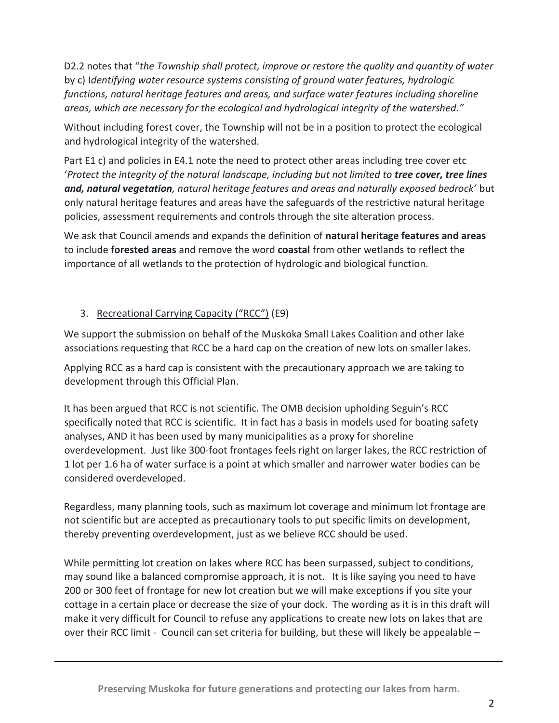D2.2 notes that "*the Township shall protect, improve or restore the quality and quantity of water* by c) I*dentifying water resource systems consisting of ground water features, hydrologic functions, natural heritage features and areas, and surface water features including shoreline areas, which are necessary for the ecological and hydrological integrity of the watershed."*

Without including forest cover, the Township will not be in a position to protect the ecological and hydrological integrity of the watershed.

Part E1 c) and policies in E4.1 note the need to protect other areas including tree cover etc '*Protect the integrity of the natural landscape, including but not limited to tree cover, tree lines and, natural vegetation, natural heritage features and areas and naturally exposed bedrock'* but only natural heritage features and areas have the safeguards of the restrictive natural heritage policies, assessment requirements and controls through the site alteration process.

We ask that Council amends and expands the definition of **natural heritage features and areas**  to include **forested areas** and remove the word **coastal** from other wetlands to reflect the importance of all wetlands to the protection of hydrologic and biological function.

# 3. Recreational Carrying Capacity ("RCC") (E9)

We support the submission on behalf of the Muskoka Small Lakes Coalition and other lake associations requesting that RCC be a hard cap on the creation of new lots on smaller lakes.

Applying RCC as a hard cap is consistent with the precautionary approach we are taking to development through this Official Plan.

It has been argued that RCC is not scientific. The OMB decision upholding Seguin's RCC specifically noted that RCC is scientific. It in fact has a basis in models used for boating safety analyses, AND it has been used by many municipalities as a proxy for shoreline overdevelopment. Just like 300-foot frontages feels right on larger lakes, the RCC restriction of 1 lot per 1.6 ha of water surface is a point at which smaller and narrower water bodies can be considered overdeveloped.

Regardless, many planning tools, such as maximum lot coverage and minimum lot frontage are not scientific but are accepted as precautionary tools to put specific limits on development, thereby preventing overdevelopment, just as we believe RCC should be used.

While permitting lot creation on lakes where RCC has been surpassed, subject to conditions, may sound like a balanced compromise approach, it is not. It is like saying you need to have 200 or 300 feet of frontage for new lot creation but we will make exceptions if you site your cottage in a certain place or decrease the size of your dock. The wording as it is in this draft will make it very difficult for Council to refuse any applications to create new lots on lakes that are over their RCC limit - Council can set criteria for building, but these will likely be appealable -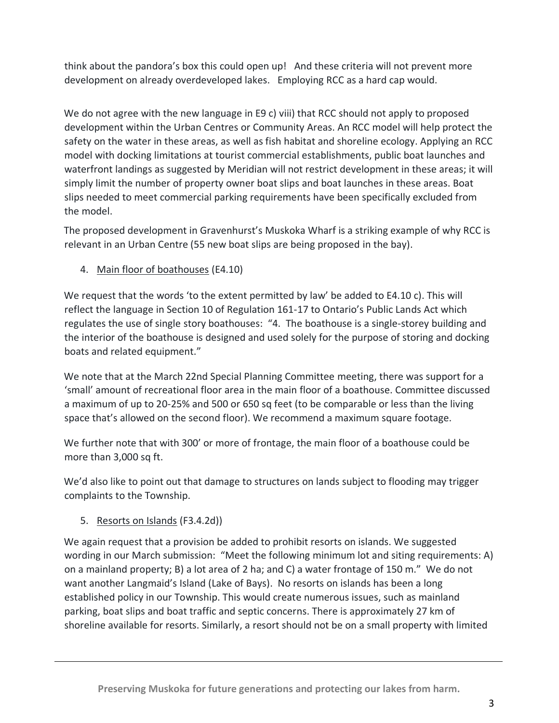think about the pandora's box this could open up! And these criteria will not prevent more development on already overdeveloped lakes. Employing RCC as a hard cap would.

We do not agree with the new language in E9 c) viii) that RCC should not apply to proposed development within the Urban Centres or Community Areas. An RCC model will help protect the safety on the water in these areas, as well as fish habitat and shoreline ecology. Applying an RCC model with docking limitations at tourist commercial establishments, public boat launches and waterfront landings as suggested by Meridian will not restrict development in these areas; it will simply limit the number of property owner boat slips and boat launches in these areas. Boat slips needed to meet commercial parking requirements have been specifically excluded from the model.

The proposed development in Gravenhurst's Muskoka Wharf is a striking example of why RCC is relevant in an Urban Centre (55 new boat slips are being proposed in the bay).

4. Main floor of boathouses (E4.10)

We request that the words 'to the extent permitted by law' be added to E4.10 c). This will reflect the language in Section 10 of Regulation 161-17 to Ontario's Public Lands Act which regulates the use of single story boathouses: "4. The boathouse is a single-storey building and the interior of the boathouse is designed and used solely for the purpose of storing and docking boats and related equipment."

We note that at the March 22nd Special Planning Committee meeting, there was support for a 'small' amount of recreational floor area in the main floor of a boathouse. Committee discussed a maximum of up to 20-25% and 500 or 650 sq feet (to be comparable or less than the living space that's allowed on the second floor). We recommend a maximum square footage.

We further note that with 300' or more of frontage, the main floor of a boathouse could be more than 3,000 sq ft.

We'd also like to point out that damage to structures on lands subject to flooding may trigger complaints to the Township.

5. Resorts on Islands (F3.4.2d))

We again request that a provision be added to prohibit resorts on islands. We suggested wording in our March submission: "Meet the following minimum lot and siting requirements: A) on a mainland property; B) a lot area of 2 ha; and C) a water frontage of 150 m." We do not want another Langmaid's Island (Lake of Bays). No resorts on islands has been a long established policy in our Township. This would create numerous issues, such as mainland parking, boat slips and boat traffic and septic concerns. There is approximately 27 km of shoreline available for resorts. Similarly, a resort should not be on a small property with limited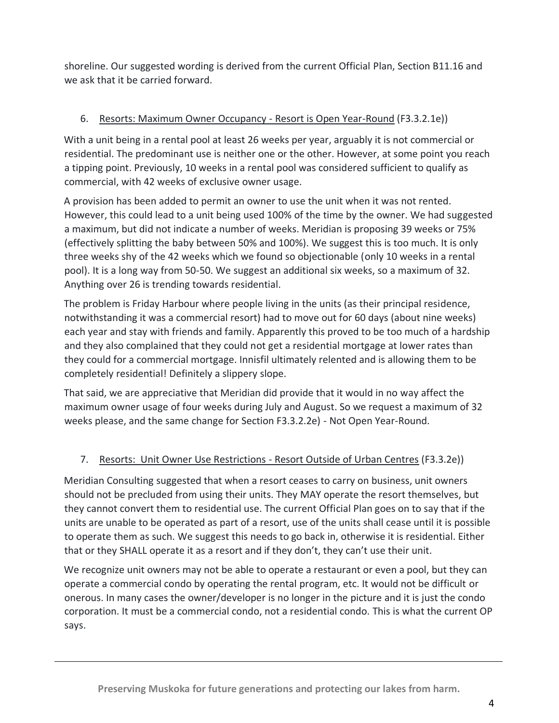shoreline. Our suggested wording is derived from the current Official Plan, Section B11.16 and we ask that it be carried forward.

# 6. Resorts: Maximum Owner Occupancy - Resort is Open Year-Round (F3.3.2.1e))

With a unit being in a rental pool at least 26 weeks per year, arguably it is not commercial or residential. The predominant use is neither one or the other. However, at some point you reach a tipping point. Previously, 10 weeks in a rental pool was considered sufficient to qualify as commercial, with 42 weeks of exclusive owner usage.

A provision has been added to permit an owner to use the unit when it was not rented. However, this could lead to a unit being used 100% of the time by the owner. We had suggested a maximum, but did not indicate a number of weeks. Meridian is proposing 39 weeks or 75% (effectively splitting the baby between 50% and 100%). We suggest this is too much. It is only three weeks shy of the 42 weeks which we found so objectionable (only 10 weeks in a rental pool). It is a long way from 50-50. We suggest an additional six weeks, so a maximum of 32. Anything over 26 is trending towards residential.

The problem is Friday Harbour where people living in the units (as their principal residence, notwithstanding it was a commercial resort) had to move out for 60 days (about nine weeks) each year and stay with friends and family. Apparently this proved to be too much of a hardship and they also complained that they could not get a residential mortgage at lower rates than they could for a commercial mortgage. Innisfil ultimately relented and is allowing them to be completely residential! Definitely a slippery slope.

That said, we are appreciative that Meridian did provide that it would in no way affect the maximum owner usage of four weeks during July and August. So we request a maximum of 32 weeks please, and the same change for Section F3.3.2.2e) - Not Open Year-Round.

## 7. Resorts: Unit Owner Use Restrictions - Resort Outside of Urban Centres (F3.3.2e))

Meridian Consulting suggested that when a resort ceases to carry on business, unit owners should not be precluded from using their units. They MAY operate the resort themselves, but they cannot convert them to residential use. The current Official Plan goes on to say that if the units are unable to be operated as part of a resort, use of the units shall cease until it is possible to operate them as such. We suggest this needs to go back in, otherwise it is residential. Either that or they SHALL operate it as a resort and if they don't, they can't use their unit.

We recognize unit owners may not be able to operate a restaurant or even a pool, but they can operate a commercial condo by operating the rental program, etc. It would not be difficult or onerous. In many cases the owner/developer is no longer in the picture and it is just the condo corporation. It must be a commercial condo, not a residential condo. This is what the current OP says.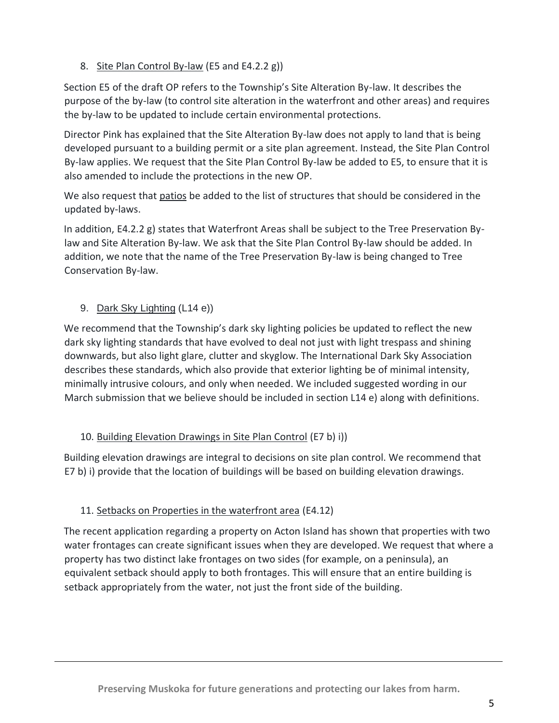#### 8. Site Plan Control By-law (E5 and E4.2.2 g))

Section E5 of the draft OP refers to the Township's Site Alteration By-law. It describes the purpose of the by-law (to control site alteration in the waterfront and other areas) and requires the by-law to be updated to include certain environmental protections.

Director Pink has explained that the Site Alteration By-law does not apply to land that is being developed pursuant to a building permit or a site plan agreement. Instead, the Site Plan Control By-law applies. We request that the Site Plan Control By-law be added to E5, to ensure that it is also amended to include the protections in the new OP.

We also request that patios be added to the list of structures that should be considered in the updated by-laws.

In addition, E4.2.2 g) states that Waterfront Areas shall be subject to the Tree Preservation Bylaw and Site Alteration By-law. We ask that the Site Plan Control By-law should be added. In addition, we note that the name of the Tree Preservation By-law is being changed to Tree Conservation By-law.

## 9. Dark Sky Lighting (L14 e))

We recommend that the Township's dark sky lighting policies be updated to reflect the new dark sky lighting standards that have evolved to deal not just with light trespass and shining downwards, but also light glare, clutter and skyglow. The International Dark Sky Association describes these standards, which also provide that exterior lighting be of minimal intensity, minimally intrusive colours, and only when needed. We included suggested wording in our March submission that we believe should be included in section L14 e) along with definitions.

## 10. Building Elevation Drawings in Site Plan Control (E7 b) i))

Building elevation drawings are integral to decisions on site plan control. We recommend that E7 b) i) provide that the location of buildings will be based on building elevation drawings.

## 11. Setbacks on Properties in the waterfront area (E4.12)

The recent application regarding a property on Acton Island has shown that properties with two water frontages can create significant issues when they are developed. We request that where a property has two distinct lake frontages on two sides (for example, on a peninsula), an equivalent setback should apply to both frontages. This will ensure that an entire building is setback appropriately from the water, not just the front side of the building.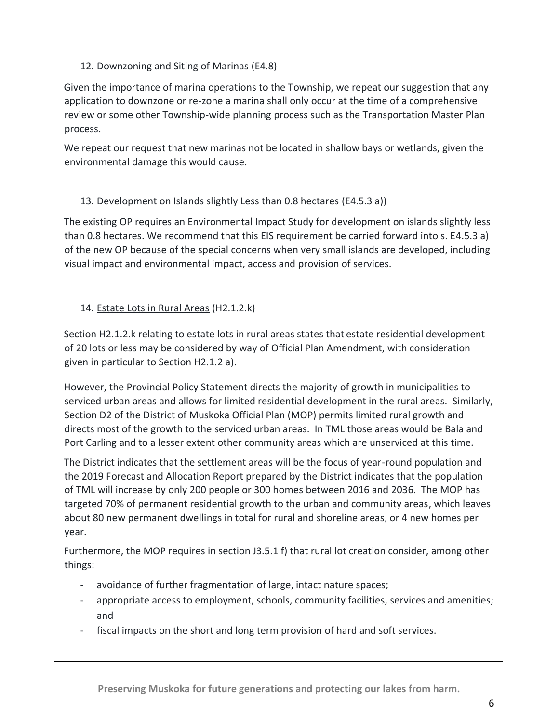## 12. Downzoning and Siting of Marinas (E4.8)

Given the importance of marina operations to the Township, we repeat our suggestion that any application to downzone or re-zone a marina shall only occur at the time of a comprehensive review or some other Township-wide planning process such as the Transportation Master Plan process.

We repeat our request that new marinas not be located in shallow bays or wetlands, given the environmental damage this would cause.

#### 13. Development on Islands slightly Less than 0.8 hectares (E4.5.3 a))

The existing OP requires an Environmental Impact Study for development on islands slightly less than 0.8 hectares. We recommend that this EIS requirement be carried forward into s. E4.5.3 a) of the new OP because of the special concerns when very small islands are developed, including visual impact and environmental impact, access and provision of services.

#### 14. Estate Lots in Rural Areas (H2.1.2.k)

Section H2.1.2.k relating to estate lots in rural areas states that estate residential development of 20 lots or less may be considered by way of Official Plan Amendment, with consideration given in particular to Section H2.1.2 a).

However, the Provincial Policy Statement directs the majority of growth in municipalities to serviced urban areas and allows for limited residential development in the rural areas. Similarly, Section D2 of the District of Muskoka Official Plan (MOP) permits limited rural growth and directs most of the growth to the serviced urban areas. In TML those areas would be Bala and Port Carling and to a lesser extent other community areas which are unserviced at this time.

The District indicates that the settlement areas will be the focus of year-round population and the 2019 Forecast and Allocation Report prepared by the District indicates that the population of TML will increase by only 200 people or 300 homes between 2016 and 2036. The MOP has targeted 70% of permanent residential growth to the urban and community areas, which leaves about 80 new permanent dwellings in total for rural and shoreline areas, or 4 new homes per year.

Furthermore, the MOP requires in section J3.5.1 f) that rural lot creation consider, among other things:

- avoidance of further fragmentation of large, intact nature spaces;
- appropriate access to employment, schools, community facilities, services and amenities; and
- fiscal impacts on the short and long term provision of hard and soft services.